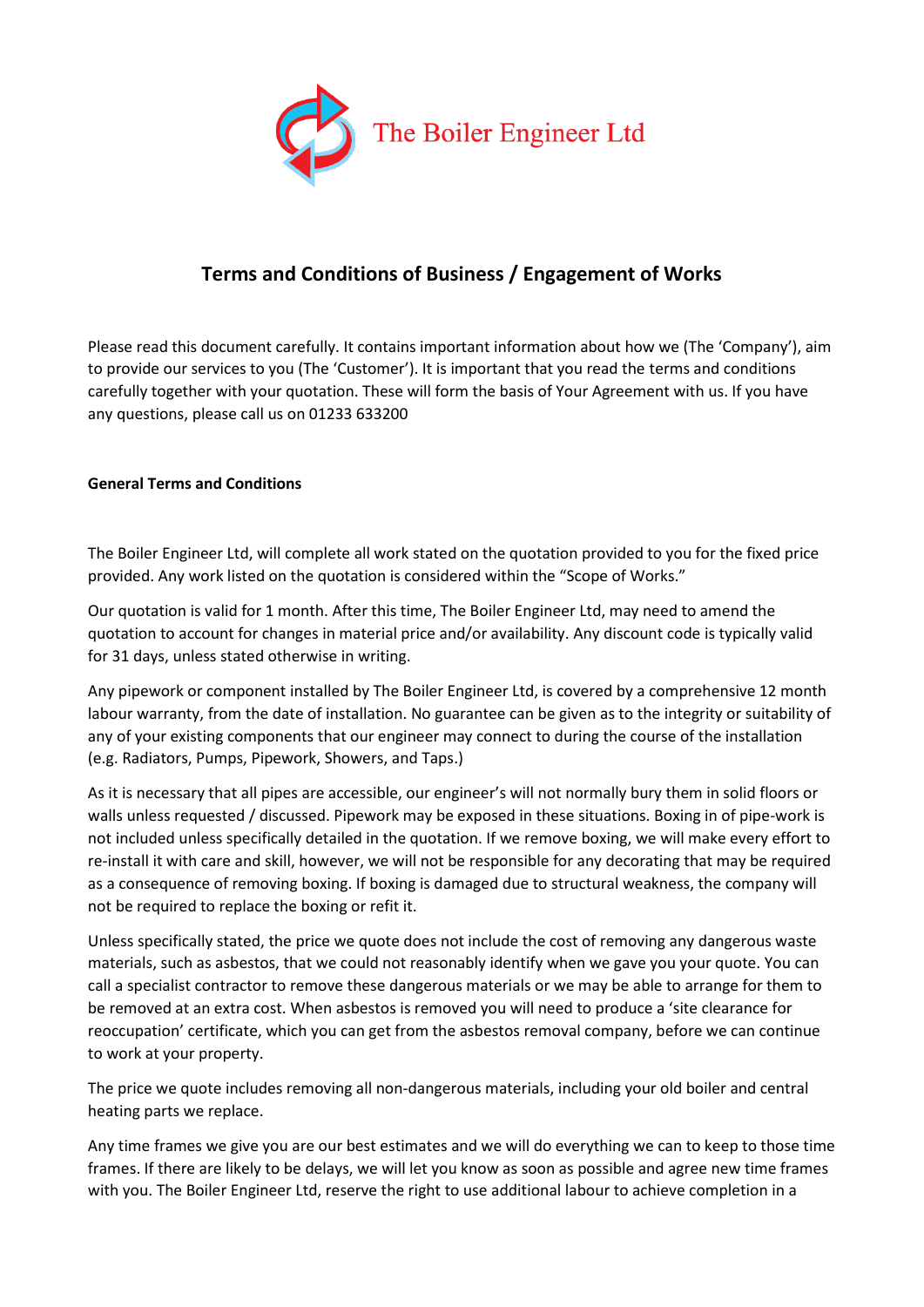

# **Terms and Conditions of Business / Engagement of Works**

Please read this document carefully. It contains important information about how we (The 'Company'), aim to provide our services to you (The 'Customer'). It is important that you read the terms and conditions carefully together with your quotation. These will form the basis of Your Agreement with us. If you have any questions, please call us on 01233 633200

# **General Terms and Conditions**

The Boiler Engineer Ltd, will complete all work stated on the quotation provided to you for the fixed price provided. Any work listed on the quotation is considered within the "Scope of Works."

Our quotation is valid for 1 month. After this time, The Boiler Engineer Ltd, may need to amend the quotation to account for changes in material price and/or availability. Any discount code is typically valid for 31 days, unless stated otherwise in writing.

Any pipework or component installed by The Boiler Engineer Ltd, is covered by a comprehensive 12 month labour warranty, from the date of installation. No guarantee can be given as to the integrity or suitability of any of your existing components that our engineer may connect to during the course of the installation (e.g. Radiators, Pumps, Pipework, Showers, and Taps.)

As it is necessary that all pipes are accessible, our engineer's will not normally bury them in solid floors or walls unless requested / discussed. Pipework may be exposed in these situations. Boxing in of pipe-work is not included unless specifically detailed in the quotation. If we remove boxing, we will make every effort to re-install it with care and skill, however, we will not be responsible for any decorating that may be required as a consequence of removing boxing. If boxing is damaged due to structural weakness, the company will not be required to replace the boxing or refit it.

Unless specifically stated, the price we quote does not include the cost of removing any dangerous waste materials, such as asbestos, that we could not reasonably identify when we gave you your quote. You can call a specialist contractor to remove these dangerous materials or we may be able to arrange for them to be removed at an extra cost. When asbestos is removed you will need to produce a 'site clearance for reoccupation' certificate, which you can get from the asbestos removal company, before we can continue to work at your property.

The price we quote includes removing all non-dangerous materials, including your old boiler and central heating parts we replace.

Any time frames we give you are our best estimates and we will do everything we can to keep to those time frames. If there are likely to be delays, we will let you know as soon as possible and agree new time frames with you. The Boiler Engineer Ltd, reserve the right to use additional labour to achieve completion in a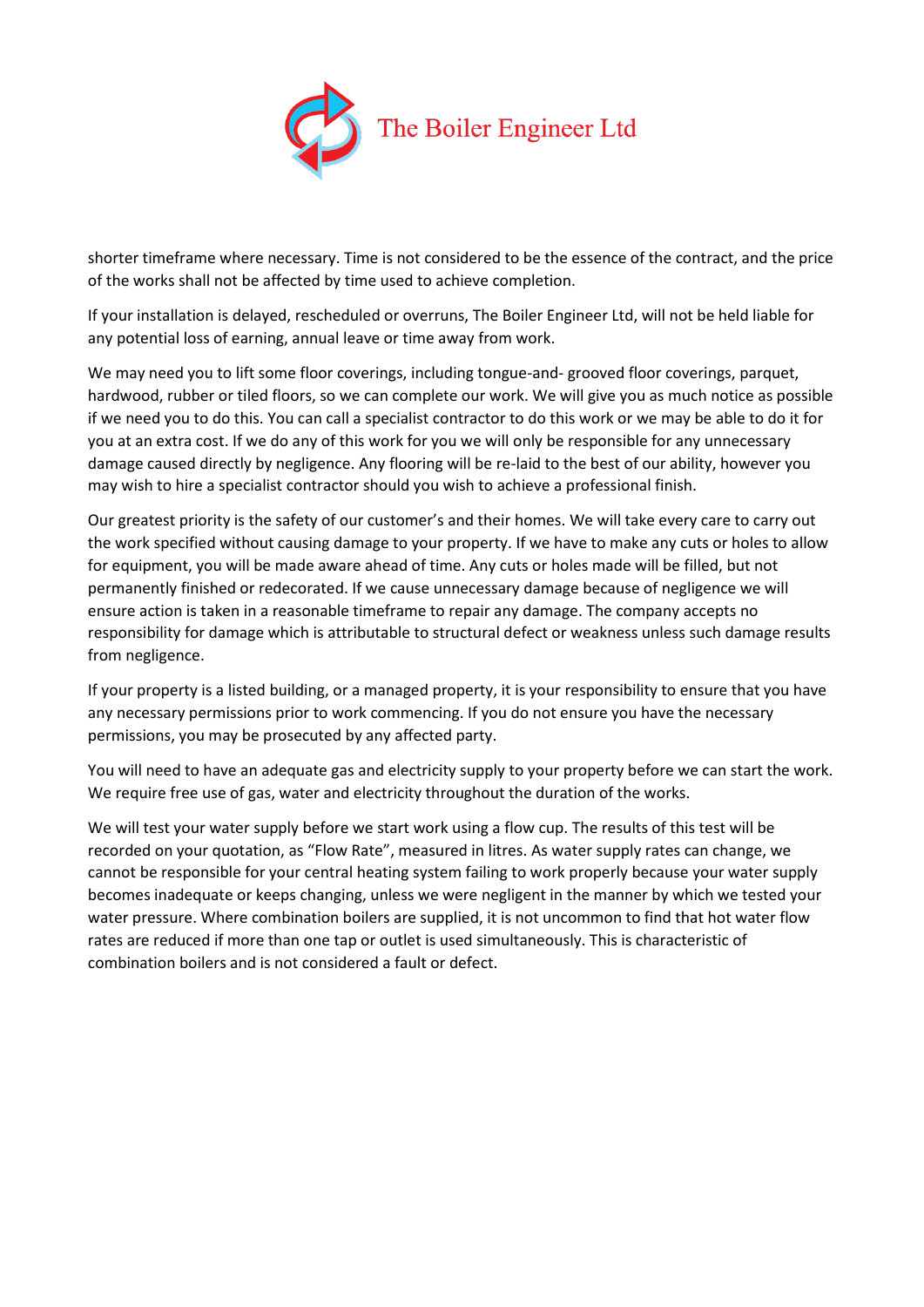

shorter timeframe where necessary. Time is not considered to be the essence of the contract, and the price of the works shall not be affected by time used to achieve completion.

If your installation is delayed, rescheduled or overruns, The Boiler Engineer Ltd, will not be held liable for any potential loss of earning, annual leave or time away from work.

We may need you to lift some floor coverings, including tongue-and- grooved floor coverings, parquet, hardwood, rubber or tiled floors, so we can complete our work. We will give you as much notice as possible if we need you to do this. You can call a specialist contractor to do this work or we may be able to do it for you at an extra cost. If we do any of this work for you we will only be responsible for any unnecessary damage caused directly by negligence. Any flooring will be re-laid to the best of our ability, however you may wish to hire a specialist contractor should you wish to achieve a professional finish.

Our greatest priority is the safety of our customer's and their homes. We will take every care to carry out the work specified without causing damage to your property. If we have to make any cuts or holes to allow for equipment, you will be made aware ahead of time. Any cuts or holes made will be filled, but not permanently finished or redecorated. If we cause unnecessary damage because of negligence we will ensure action is taken in a reasonable timeframe to repair any damage. The company accepts no responsibility for damage which is attributable to structural defect or weakness unless such damage results from negligence.

If your property is a listed building, or a managed property, it is your responsibility to ensure that you have any necessary permissions prior to work commencing. If you do not ensure you have the necessary permissions, you may be prosecuted by any affected party.

You will need to have an adequate gas and electricity supply to your property before we can start the work. We require free use of gas, water and electricity throughout the duration of the works.

We will test your water supply before we start work using a flow cup. The results of this test will be recorded on your quotation, as "Flow Rate", measured in litres. As water supply rates can change, we cannot be responsible for your central heating system failing to work properly because your water supply becomes inadequate or keeps changing, unless we were negligent in the manner by which we tested your water pressure. Where combination boilers are supplied, it is not uncommon to find that hot water flow rates are reduced if more than one tap or outlet is used simultaneously. This is characteristic of combination boilers and is not considered a fault or defect.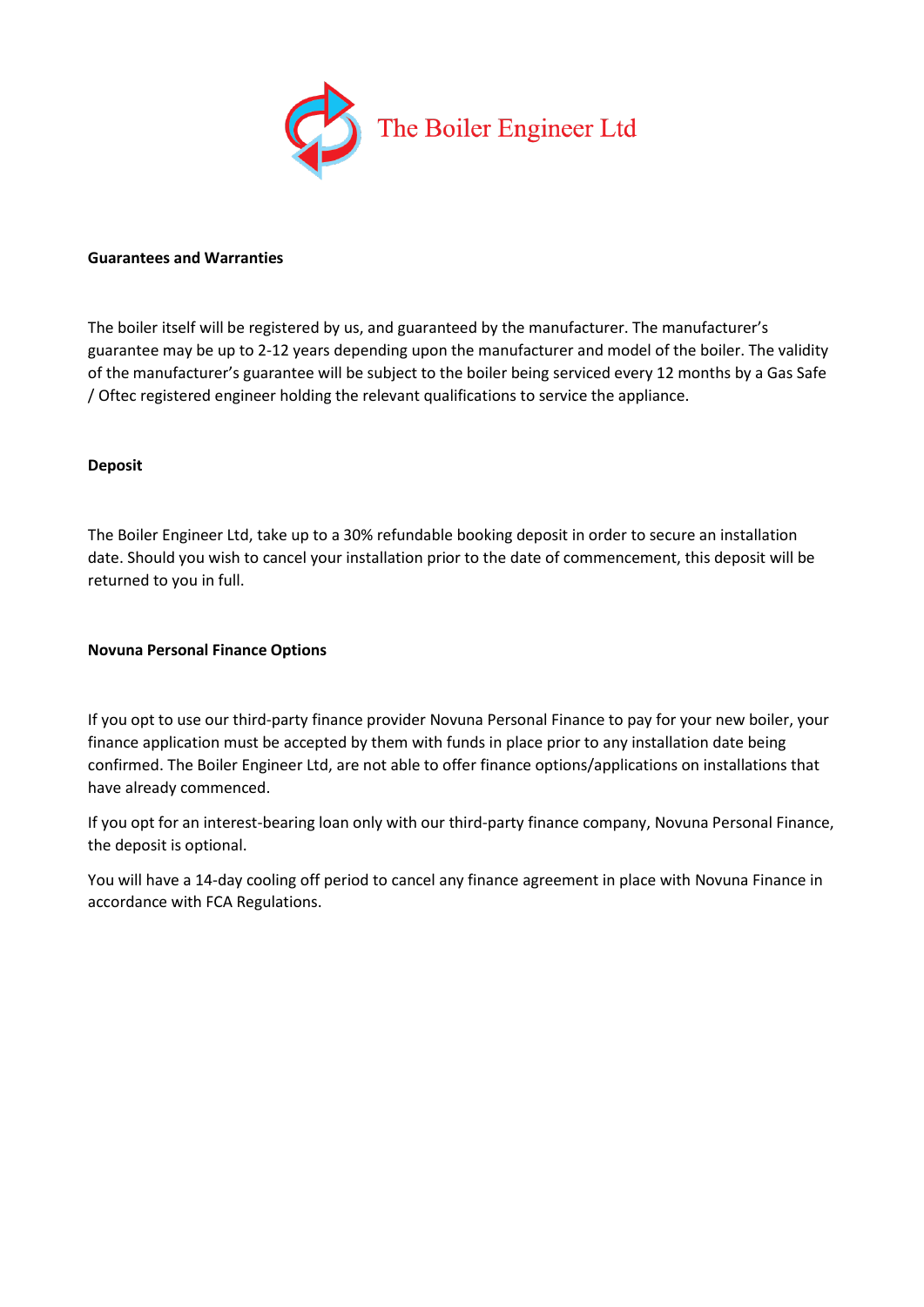

#### **Guarantees and Warranties**

The boiler itself will be registered by us, and guaranteed by the manufacturer. The manufacturer's guarantee may be up to 2-12 years depending upon the manufacturer and model of the boiler. The validity of the manufacturer's guarantee will be subject to the boiler being serviced every 12 months by a Gas Safe / Oftec registered engineer holding the relevant qualifications to service the appliance.

#### **Deposit**

The Boiler Engineer Ltd, take up to a 30% refundable booking deposit in order to secure an installation date. Should you wish to cancel your installation prior to the date of commencement, this deposit will be returned to you in full.

#### **Novuna Personal Finance Options**

If you opt to use our third-party finance provider Novuna Personal Finance to pay for your new boiler, your finance application must be accepted by them with funds in place prior to any installation date being confirmed. The Boiler Engineer Ltd, are not able to offer finance options/applications on installations that have already commenced.

If you opt for an interest-bearing loan only with our third-party finance company, Novuna Personal Finance, the deposit is optional.

You will have a 14-day cooling off period to cancel any finance agreement in place with Novuna Finance in accordance with FCA Regulations.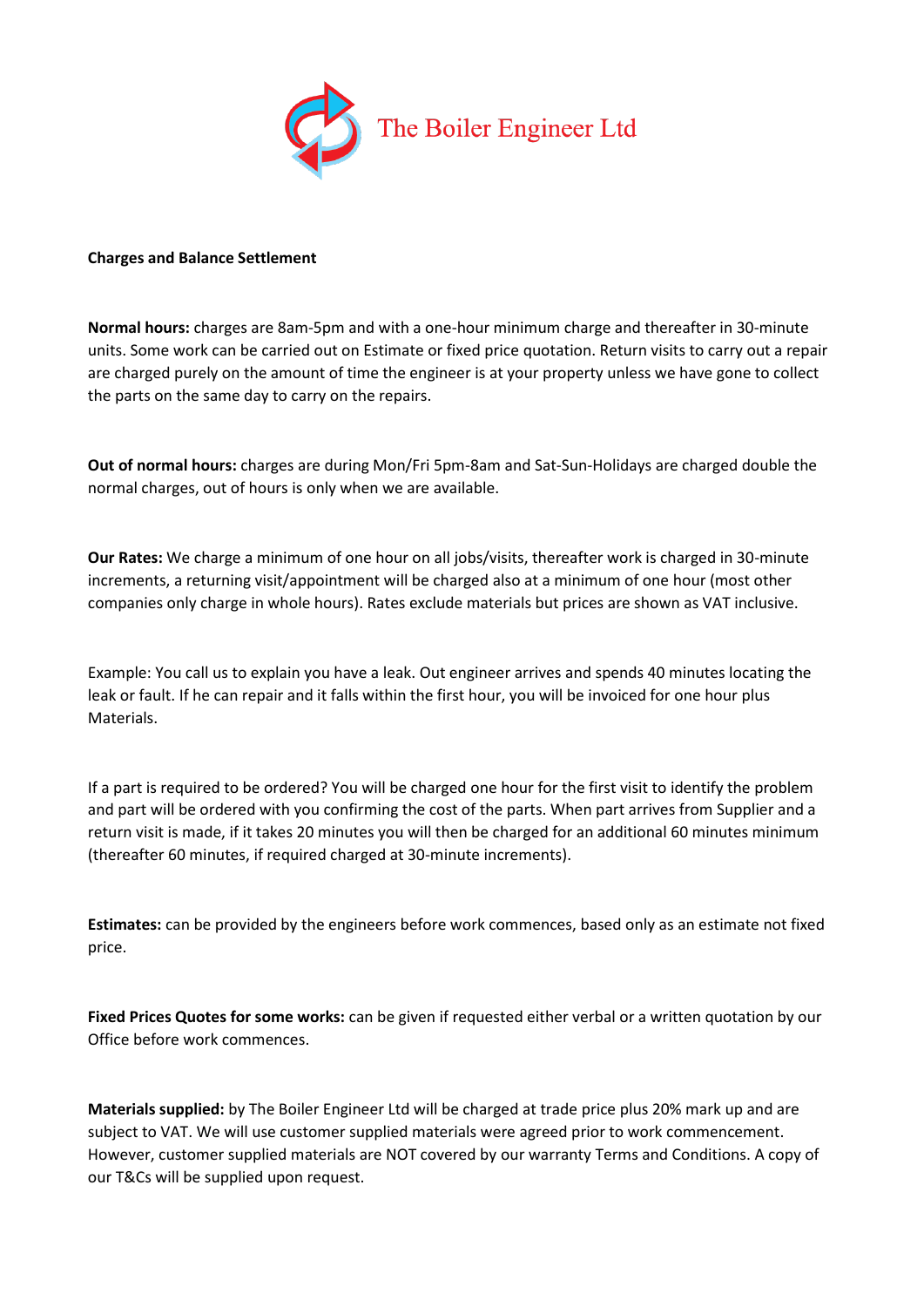

#### **Charges and Balance Settlement**

**Normal hours:** charges are 8am-5pm and with a one-hour minimum charge and thereafter in 30-minute units. Some work can be carried out on Estimate or fixed price quotation. Return visits to carry out a repair are charged purely on the amount of time the engineer is at your property unless we have gone to collect the parts on the same day to carry on the repairs.

**Out of normal hours:** charges are during Mon/Fri 5pm-8am and Sat-Sun-Holidays are charged double the normal charges, out of hours is only when we are available.

**Our Rates:** We charge a minimum of one hour on all jobs/visits, thereafter work is charged in 30-minute increments, a returning visit/appointment will be charged also at a minimum of one hour (most other companies only charge in whole hours). Rates exclude materials but prices are shown as VAT inclusive.

Example: You call us to explain you have a leak. Out engineer arrives and spends 40 minutes locating the leak or fault. If he can repair and it falls within the first hour, you will be invoiced for one hour plus Materials.

If a part is required to be ordered? You will be charged one hour for the first visit to identify the problem and part will be ordered with you confirming the cost of the parts. When part arrives from Supplier and a return visit is made, if it takes 20 minutes you will then be charged for an additional 60 minutes minimum (thereafter 60 minutes, if required charged at 30-minute increments).

**Estimates:** can be provided by the engineers before work commences, based only as an estimate not fixed price.

**Fixed Prices Quotes for some works:** can be given if requested either verbal or a written quotation by our Office before work commences.

**Materials supplied:** by The Boiler Engineer Ltd will be charged at trade price plus 20% mark up and are subject to VAT. We will use customer supplied materials were agreed prior to work commencement. However, customer supplied materials are NOT covered by our warranty Terms and Conditions. A copy of our T&Cs will be supplied upon request.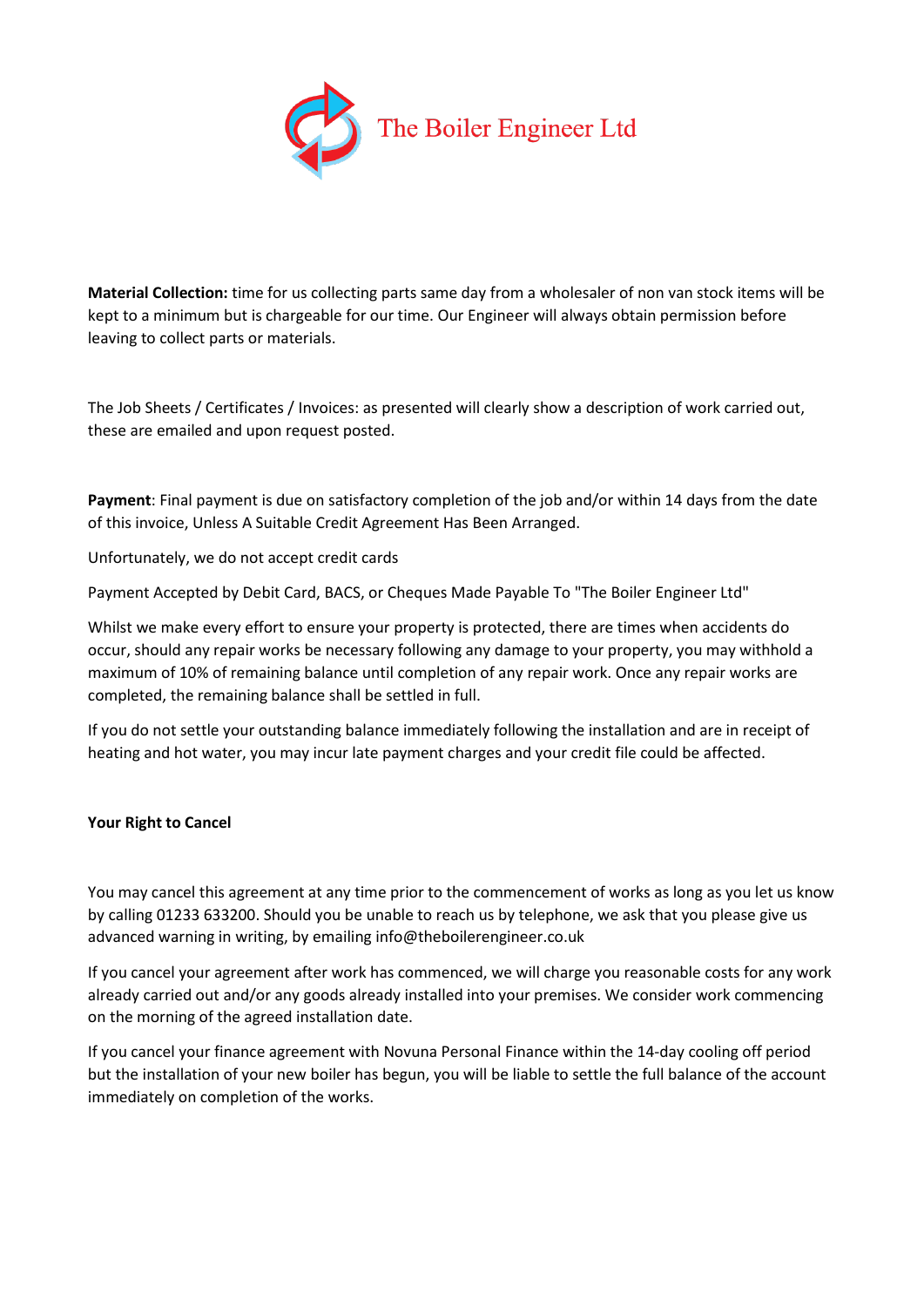

**Material Collection:** time for us collecting parts same day from a wholesaler of non van stock items will be kept to a minimum but is chargeable for our time. Our Engineer will always obtain permission before leaving to collect parts or materials.

The Job Sheets / Certificates / Invoices: as presented will clearly show a description of work carried out, these are emailed and upon request posted.

**Payment**: Final payment is due on satisfactory completion of the job and/or within 14 days from the date of this invoice, Unless A Suitable Credit Agreement Has Been Arranged.

Unfortunately, we do not accept credit cards

Payment Accepted by Debit Card, BACS, or Cheques Made Payable To "The Boiler Engineer Ltd"

Whilst we make every effort to ensure your property is protected, there are times when accidents do occur, should any repair works be necessary following any damage to your property, you may withhold a maximum of 10% of remaining balance until completion of any repair work. Once any repair works are completed, the remaining balance shall be settled in full.

If you do not settle your outstanding balance immediately following the installation and are in receipt of heating and hot water, you may incur late payment charges and your credit file could be affected.

## **Your Right to Cancel**

You may cancel this agreement at any time prior to the commencement of works as long as you let us know by calling 01233 633200. Should you be unable to reach us by telephone, we ask that you please give us advanced warning in writing, by emailing info@theboilerengineer.co.uk

If you cancel your agreement after work has commenced, we will charge you reasonable costs for any work already carried out and/or any goods already installed into your premises. We consider work commencing on the morning of the agreed installation date.

If you cancel your finance agreement with Novuna Personal Finance within the 14-day cooling off period but the installation of your new boiler has begun, you will be liable to settle the full balance of the account immediately on completion of the works.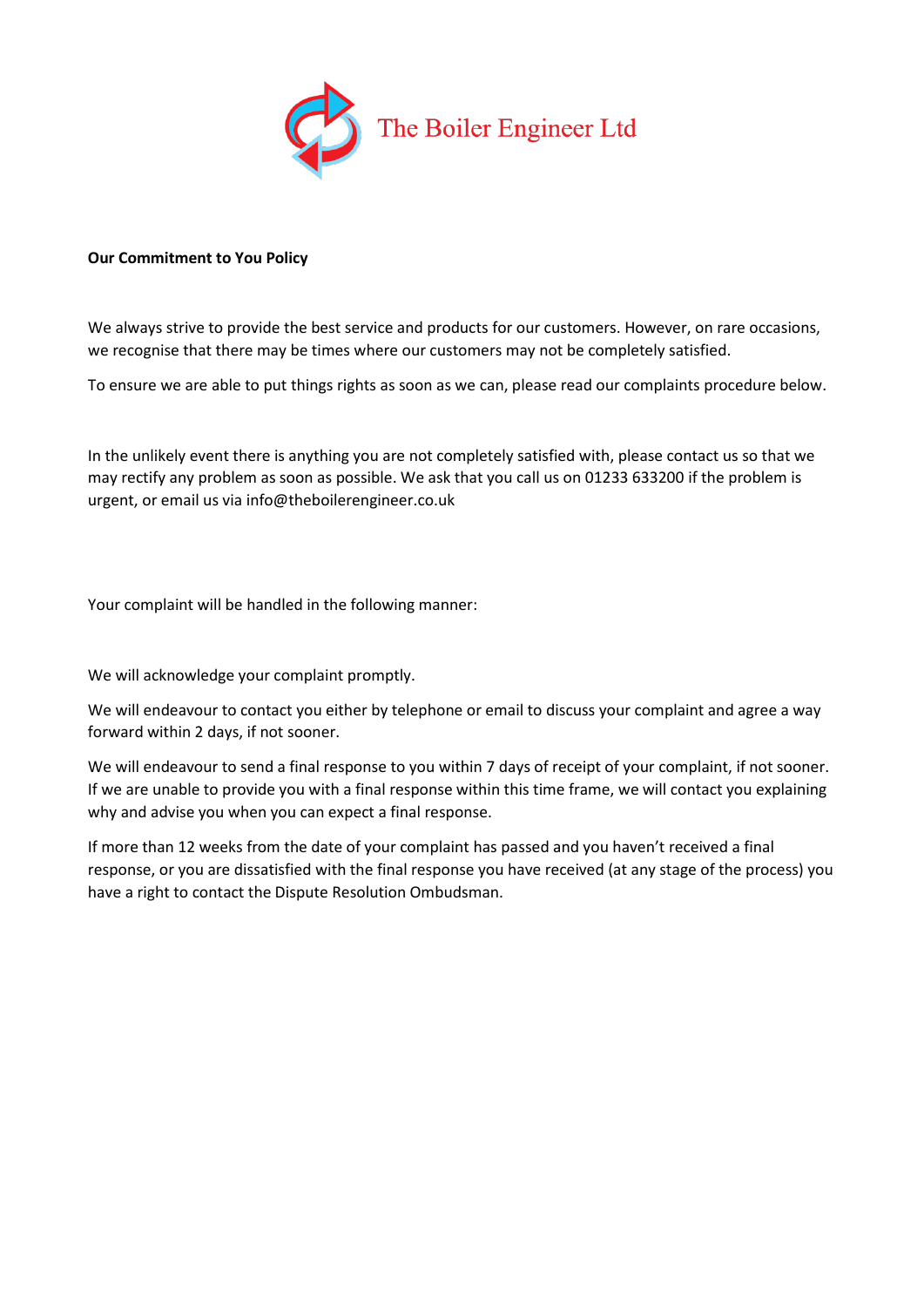

# **Our Commitment to You Policy**

We always strive to provide the best service and products for our customers. However, on rare occasions, we recognise that there may be times where our customers may not be completely satisfied.

To ensure we are able to put things rights as soon as we can, please read our complaints procedure below.

In the unlikely event there is anything you are not completely satisfied with, please contact us so that we may rectify any problem as soon as possible. We ask that you call us on 01233 633200 if the problem is urgent, or email us via info@theboilerengineer.co.uk

Your complaint will be handled in the following manner:

We will acknowledge your complaint promptly.

We will endeavour to contact you either by telephone or email to discuss your complaint and agree a way forward within 2 days, if not sooner.

We will endeavour to send a final response to you within 7 days of receipt of your complaint, if not sooner. If we are unable to provide you with a final response within this time frame, we will contact you explaining why and advise you when you can expect a final response.

If more than 12 weeks from the date of your complaint has passed and you haven't received a final response, or you are dissatisfied with the final response you have received (at any stage of the process) you have a right to contact the Dispute Resolution Ombudsman.